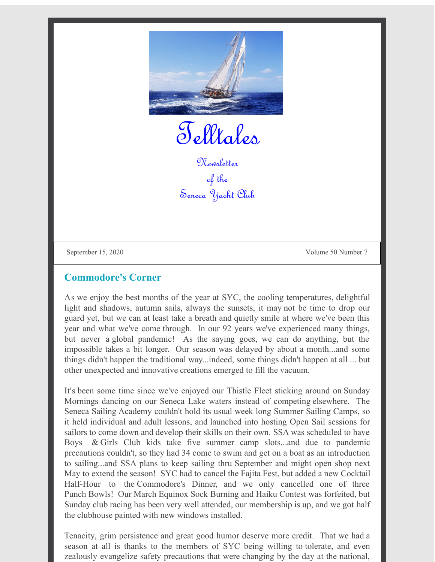

Telltales

Newsletter of the Seneca Yacht Club

September 15, 2020 Volume 50 Number 7

## **Commodore's Corner**

As we enjoy the best months of the year at SYC, the cooling temperatures, delightful light and shadows, autumn sails, always the sunsets, it may not be time to drop our guard yet, but we can at least take a breath and quietly smile at where we've been this year and what we've come through. In our 92 years we've experienced many things, but never a global pandemic! As the saying goes, we can do anything, but the impossible takes a bit longer. Our season was delayed by about a month...and some things didn't happen the traditional way...indeed, some things didn't happen at all ... but other unexpected and innovative creations emerged to fill the vacuum.

It's been some time since we've enjoyed our Thistle Fleet sticking around on Sunday Mornings dancing on our Seneca Lake waters instead of competing elsewhere. The Seneca Sailing Academy couldn't hold its usual week long Summer Sailing Camps, so it held individual and adult lessons, and launched into hosting Open Sail sessions for sailors to come down and develop their skills on their own. SSA was scheduled to have Boys & Girls Club kids take five summer camp slots...and due to pandemic precautions couldn't, so they had 34 come to swim and get on a boat as an introduction to sailing...and SSA plans to keep sailing thru September and might open shop next May to extend the season! SYC had to cancel the Fajita Fest, but added a new Cocktail Half-Hour to the Commodore's Dinner, and we only cancelled one of three Punch Bowls! Our March Equinox Sock Burning and Haiku Contest was forfeited, but Sunday club racing has been very well attended, our membership is up, and we got half the clubhouse painted with new windows installed.

Tenacity, grim persistence and great good humor deserve more credit. That we had a season at all is thanks to the members of SYC being willing to tolerate, and even zealously evangelize safety precautions that were changing by the day at the national,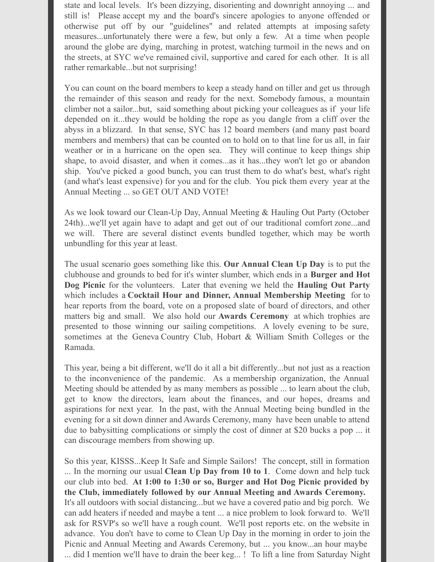state and local levels. It's been dizzying, disorienting and downright annoying ... and still is! Please accept my and the board's sincere apologies to anyone offended or otherwise put off by our "guidelines" and related attempts at imposing safety measures...unfortunately there were a few, but only a few. At a time when people around the globe are dying, marching in protest, watching turmoil in the news and on the streets, at SYC we've remained civil, supportive and cared for each other. It is all rather remarkable...but not surprising!

You can count on the board members to keep a steady hand on tiller and get us through the remainder of this season and ready for the next. Somebody famous, a mountain climber not a sailor...but, said something about picking your colleagues as if your life depended on it...they would be holding the rope as you dangle from a cliff over the abyss in a blizzard. In that sense, SYC has 12 board members (and many past board members and members) that can be counted on to hold on to that line for us all, in fair weather or in a hurricane on the open sea. They will continue to keep things ship shape, to avoid disaster, and when it comes...as it has...they won't let go or abandon ship. You've picked a good bunch, you can trust them to do what's best, what's right (and what's least expensive) for you and for the club. You pick them every year at the Annual Meeting ... so GET OUT AND VOTE!

As we look toward our Clean-Up Day, Annual Meeting & Hauling Out Party (October 24th)...we'll yet again have to adapt and get out of our traditional comfort zone...and we will. There are several distinct events bundled together, which may be worth unbundling for this year at least.

The usual scenario goes something like this. **Our Annual Clean Up Day** is to put the clubhouse and grounds to bed for it's winter slumber, which ends in a **Burger and Hot Dog Picnic** for the volunteers. Later that evening we held the **Hauling Out Party** which includes a **Cocktail Hour and Dinner, Annual Membership Meeting** for to hear reports from the board, vote on a proposed slate of board of directors, and other matters big and small. We also hold our **Awards Ceremony** at which trophies are presented to those winning our sailing competitions. A lovely evening to be sure, sometimes at the Geneva Country Club, Hobart & William Smith Colleges or the Ramada.

This year, being a bit different, we'll do it all a bit differently...but not just as a reaction to the inconvenience of the pandemic. As a membership organization, the Annual Meeting should be attended by as many members as possible ... to learn about the club, get to know the directors, learn about the finances, and our hopes, dreams and aspirations for next year. In the past, with the Annual Meeting being bundled in the evening for a sit down dinner and Awards Ceremony, many have been unable to attend due to babysitting complications or simply the cost of dinner at \$20 bucks a pop ... it can discourage members from showing up.

So this year, KISSS...Keep It Safe and Simple Sailors! The concept, still in formation ... In the morning our usual **Clean Up Day from 10 to 1**. Come down and help tuck our club into bed. **At 1:00 to 1:30 or so, Burger and Hot Dog Picnic provided by the Club, immediately followed by our Annual Meeting and Awards Ceremony.** It's all outdoors with social distancing...but we have a covered patio and big porch. We can add heaters if needed and maybe a tent ... a nice problem to look forward to. We'll ask for RSVP's so we'll have a rough count. We'll post reports etc. on the website in advance. You don't have to come to Clean Up Day in the morning in order to join the Picnic and Annual Meeting and Awards Ceremony, but ... you know...an hour maybe ... did I mention we'll have to drain the beer keg... ! To lift a line from Saturday Night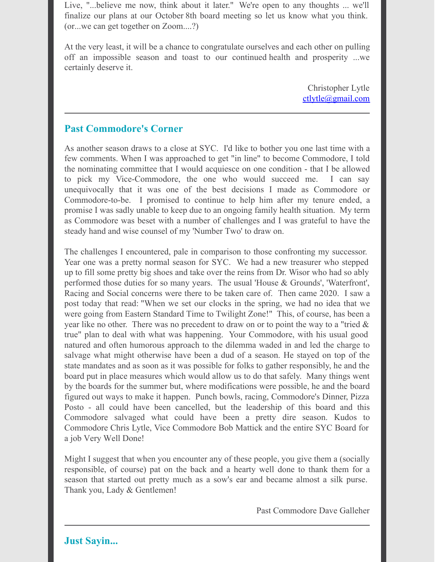Live, "...believe me now, think about it later." We're open to any thoughts ... we'll finalize our plans at our October 8th board meeting so let us know what you think. (or...we can get together on Zoom....?)

At the very least, it will be a chance to congratulate ourselves and each other on pulling off an impossible season and toast to our continued health and prosperity ...we certainly deserve it.

> Christopher Lytle ctlytle@gmail.com

## **Past Commodore's Corner**

As another season draws to a close at SYC. I'd like to bother you one last time with a few comments. When I was approached to get "in line" to become Commodore, I told the nominating committee that I would acquiesce on one condition - that I be allowed to pick my Vice-Commodore, the one who would succeed me. I can say unequivocally that it was one of the best decisions I made as Commodore or Commodore-to-be. I promised to continue to help him after my tenure ended, a promise I was sadly unable to keep due to an ongoing family health situation. My term as Commodore was beset with a number of challenges and I was grateful to have the steady hand and wise counsel of my 'Number Two' to draw on.

The challenges I encountered, pale in comparison to those confronting my successor. Year one was a pretty normal season for SYC. We had a new treasurer who stepped up to fill some pretty big shoes and take over the reins from Dr. Wisor who had so ably performed those duties for so many years. The usual 'House & Grounds', 'Waterfront', Racing and Social concerns were there to be taken care of. Then came 2020. I saw a post today that read: "When we set our clocks in the spring, we had no idea that we were going from Eastern Standard Time to Twilight Zone!" This, of course, has been a year like no other. There was no precedent to draw on or to point the way to a "tried  $\&$ true" plan to deal with what was happening. Your Commodore, with his usual good natured and often humorous approach to the dilemma waded in and led the charge to salvage what might otherwise have been a dud of a season. He stayed on top of the state mandates and as soon as it was possible for folks to gather responsibly, he and the board put in place measures which would allow us to do that safely. Many things went by the boards for the summer but, where modifications were possible, he and the board figured out ways to make it happen. Punch bowls, racing, Commodore's Dinner, Pizza Posto - all could have been cancelled, but the leadership of this board and this Commodore salvaged what could have been a pretty dire season. Kudos to Commodore Chris Lytle, Vice Commodore Bob Mattick and the entire SYC Board for a job Very Well Done!

Might I suggest that when you encounter any of these people, you give them a (socially responsible, of course) pat on the back and a hearty well done to thank them for a season that started out pretty much as a sow's ear and became almost a silk purse. Thank you, Lady & Gentlemen!

Past Commodore Dave Galleher